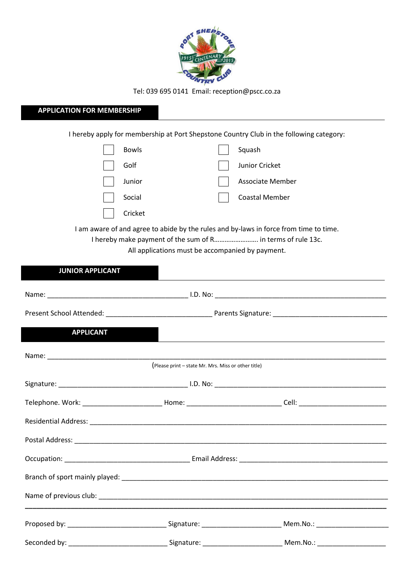

Tel: 039 695 0141 Email: reception@pscc.co.za

## **APPLICATION FOR MEMBERSHIP**

I hereby apply for membership at Port Shepstone Country Club in the following category:

| <b>Bowls</b> | Squash                |
|--------------|-----------------------|
| Golf         | Junior Cricket        |
| Junior       | Associate Member      |
| Social       | <b>Coastal Member</b> |
| Cricket      |                       |

I am aware of and agree to abide by the rules and by-laws in force from time to time.

I hereby make payment of the sum of R……………………. in terms of rule 13c.

All applications must be accompanied by payment.

| <b>JUNIOR APPLICANT</b> |                                                     |  |
|-------------------------|-----------------------------------------------------|--|
|                         |                                                     |  |
|                         |                                                     |  |
| <b>APPLICANT</b>        |                                                     |  |
|                         | (Please print - state Mr. Mrs. Miss or other title) |  |
|                         |                                                     |  |
|                         |                                                     |  |
|                         |                                                     |  |
|                         |                                                     |  |
|                         |                                                     |  |
|                         |                                                     |  |
|                         |                                                     |  |
|                         |                                                     |  |
|                         |                                                     |  |
|                         |                                                     |  |